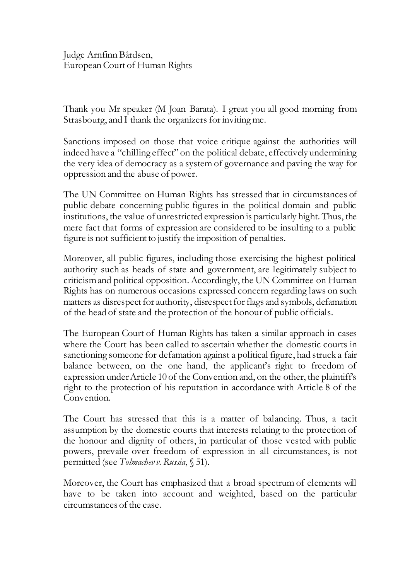Judge Arnfinn Bårdsen, European Court of Human Rights

Thank you Mr speaker (M Joan Barata). I great you all good morning from Strasbourg, and I thank the organizers for inviting me.

Sanctions imposed on those that voice critique against the authorities will indeed have a "chilling effect" on the political debate, effectively undermining the very idea of democracy as a system of governance and paving the way for oppression and the abuse of power.

The UN Committee on Human Rights has stressed that in circumstances of public debate concerning public figures in the political domain and public institutions, the value of unrestricted expression is particularly hight. Thus, the mere fact that forms of expression are considered to be insulting to a public figure is not sufficient to justify the imposition of penalties.

Moreover, all public figures, including those exercising the highest political authority such as heads of state and government, are legitimately subject to criticism and political opposition. Accordingly, the UN Committee on Human Rights has on numerous occasions expressed concern regarding laws on such matters as disrespect for authority, disrespect for flags and symbols, defamation of the head of state and the protection of the honour of public officials.

The European Court of Human Rights has taken a similar approach in cases where the Court has been called to ascertain whether the domestic courts in sanctioning someone for defamation against a political figure, had struck a fair balance between, on the one hand, the applicant's right to freedom of expression under Article 10 of the Convention and, on the other, the plaintiff's right to the protection of his reputation in accordance with Article 8 of the Convention.

The Court has stressed that this is a matter of balancing. Thus, a tacit assumption by the domestic courts that interests relating to the protection of the honour and dignity of others, in particular of those vested with public powers, prevaile over freedom of expression in all circumstances, is not permitted (see *Tolmachev v. Russia*, § 51).

Moreover, the Court has emphasized that a broad spectrum of elements will have to be taken into account and weighted, based on the particular circumstances of the case.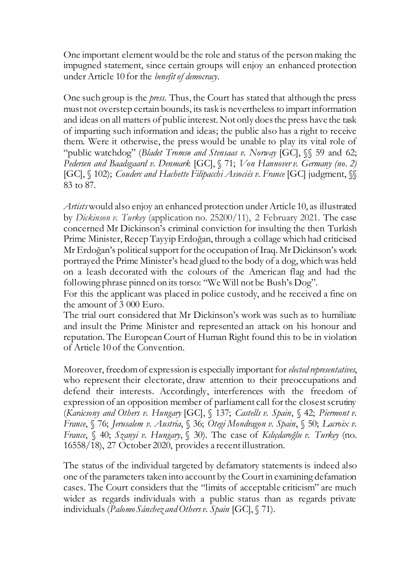One important element would be the role and status of the person making the impugned statement, since certain groups will enjoy an enhanced protection under Article 10 for the *benefit of democracy*.

One such group is the *press*. Thus, the Court has stated that although the press must not overstep certain bounds, its task is nevertheless to impart information and ideas on all matters of public interest. Not only does the press have the task of imparting such information and ideas; the public also has a right to receive them. Were it otherwise, the press would be unable to play its vital role of "public watchdog" (*Bladet Tromsø and Stensaas v. Norway* [GC], §§ 59 and 62; *Pedersen and Baadsgaard v. Denmark* [GC], § 71; *Von Hannover v. Germany (no. 2)*  [GC], § 102); *Couderc and Hachette Filipacchi Associés v. France* [GC] judgment, §§ 83 to 87.

*Artists*would also enjoy an enhanced protection under Article 10, as illustrated by *Dickinson v. Turkey* (application no. 25200/11), 2 February 2021. The case concerned Mr Dickinson's criminal conviction for insulting the then Turkish Prime Minister, Recep Tayyip Erdoğan, through a collage which had criticised Mr Erdoğan's political support for the occupation of Iraq. Mr Dickinson's work portrayed the Prime Minister's head glued to the body of a dog, which was held on a leash decorated with the colours of the American flag and had the following phrase pinned on its torso: "We Will not be Bush's Dog".

For this the applicant was placed in police custody, and he received a fine on the amount of 3 000 Euro.

The trial ourt considered that Mr Dickinson's work was such as to humiliate and insult the Prime Minister and represented an attack on his honour and reputation. The European Court of Human Right found this to be in violation of Article 10 of the Convention.

Moreover, freedom of expression is especially important for *elected representatives*, who represent their electorate, draw attention to their preoccupations and defend their interests. Accordingly, interferences with the freedom of expression of an opposition member of parliament call for the closest scrutiny (*Karácsony and Others v. Hungary* [GC], § 137; *Castells v. Spain*, § 42; *Piermont v. France*, § 76; *Jerusalem v. Austria*, § 36; *Otegi Mondragon v. Spain*, § 50; *Lacroix v. France*, § 40; *Szanyi v. Hungary*, § 30). The case of *Kılıçdaroğlu v. Turkey* (no. 16558/18), 27 October 2020, provides a recent illustration.

The status of the individual targeted by defamatory statements is indeed also one of the parameters taken into account by the Court in examining defamation cases. The Court considers that the "limits of acceptable criticism" are much wider as regards individuals with a public status than as regards private individuals (*Palomo Sánchez and Others v. Spain* [GC], § 71).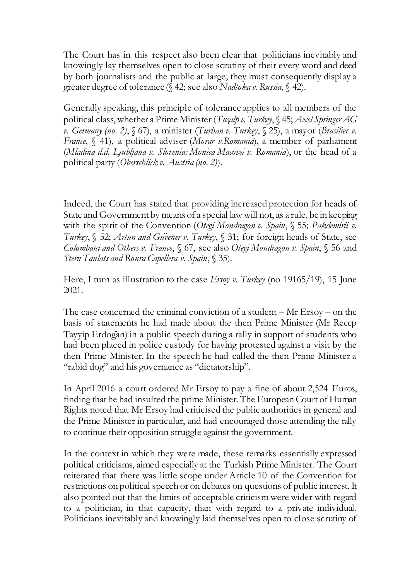The Court has in this respect also been clear that politicians inevitably and knowingly lay themselves open to close scrutiny of their every word and deed by both journalists and the public at large; they must consequently display a greater degree of tolerance (§ 42; see also *Nadtoka v. Russia*, § 42).

Generally speaking, this principle of tolerance applies to all members of the political class, whether a Prime Minister (*Tuşalp v. Turkey*, § 45; *Axel Springer AG v. Germany (no. 2)*, § 67), a minister (*Turhan v. Turkey*, § 25), a mayor (*Brasilier v. France*, § 41), a political adviser (*Morar v.Romania*), a member of parliament (*Mladina d.d. Ljubljana v. Slovenia; Monica Macovei v. Romania*), or the head of a political party (*Oberschlick v. Austria (no. 2)*).

Indeed, the Court has stated that providing increased protection for heads of State and Government by means of a special law will not, as a rule, be in keeping with the spirit of the Convention (*Otegi Mondragon v. Spain*, § 55; *Pakdemirli v. Turkey*, § 52; *Artun and Güvener v. Turkey*, § 31; for foreign heads of State, see *Colombani and Others v. France*, § 67, see also *Otegi Mondragon v. Spain*, § 56 and *Stern Taulats and Roura Capellera v. Spain*, § 35).

Here, I turn as illustration to the case *Ersoy v. Turkey* (no 19165/19), 15 June 2021.

The case concerned the criminal conviction of a student – Mr Ersoy – on the basis of statements he had made about the then Prime Minister (Mr Recep Tayyip Erdoğan) in a public speech during a rally in support of students who had been placed in police custody for having protested against a visit by the then Prime Minister. In the speech he had called the then Prime Minister a "rabid dog" and his governance as "dictatorship".

In April 2016 a court ordered Mr Ersoy to pay a fine of about 2,524 Euros, finding that he had insulted the prime Minister. The European Court of Human Rights noted that Mr Ersoy had criticised the public authorities in general and the Prime Minister in particular, and had encouraged those attending the rally to continue their opposition struggle against the government.

In the context in which they were made, these remarks essentially expressed political criticisms, aimed especially at the Turkish Prime Minister. The Court reiterated that there was little scope under Article 10 of the Convention for restrictions on political speech or on debates on questions of public interest. It also pointed out that the limits of acceptable criticism were wider with regard to a politician, in that capacity, than with regard to a private individual. Politicians inevitably and knowingly laid themselves open to close scrutiny of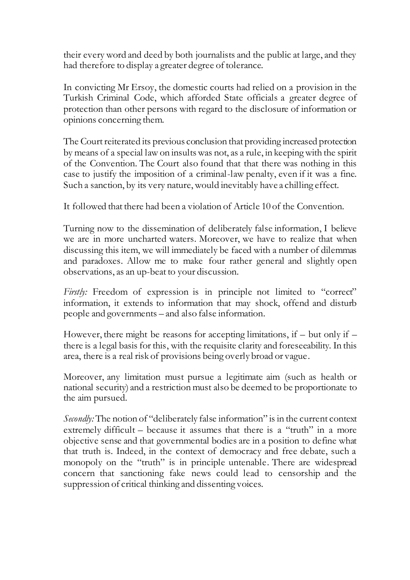their every word and deed by both journalists and the public at large, and they had therefore to display a greater degree of tolerance.

In convicting Mr Ersoy, the domestic courts had relied on a provision in the Turkish Criminal Code, which afforded State officials a greater degree of protection than other persons with regard to the disclosure of information or opinions concerning them.

The Court reiterated its previous conclusion that providing increased protection by means of a special law on insults was not, as a rule, in keeping with the spirit of the Convention. The Court also found that that there was nothing in this case to justify the imposition of a criminal-law penalty, even if it was a fine. Such a sanction, by its very nature, would inevitably have a chilling effect.

It followed that there had been a violation of Article 10 of the Convention.

Turning now to the dissemination of deliberately false information, I believe we are in more uncharted waters. Moreover, we have to realize that when discussing this item, we will immediately be faced with a number of dilemmas and paradoxes. Allow me to make four rather general and slightly open observations, as an up-beat to your discussion.

*Firstly:* Freedom of expression is in principle not limited to "correct" information, it extends to information that may shock, offend and disturb people and governments – and also false information.

However, there might be reasons for accepting limitations, if – but only if – there is a legal basis for this, with the requisite clarity and foreseeability. In this area, there is a real risk of provisions being overly broad or vague.

Moreover, any limitation must pursue a legitimate aim (such as health or national security) and a restriction must also be deemed to be proportionate to the aim pursued.

*Secondly:* The notion of "deliberately false information" is in the current context extremely difficult – because it assumes that there is a "truth" in a more objective sense and that governmental bodies are in a position to define what that truth is. Indeed, in the context of democracy and free debate, such a monopoly on the "truth" is in principle untenable. There are widespread concern that sanctioning fake news could lead to censorship and the suppression of critical thinking and dissenting voices.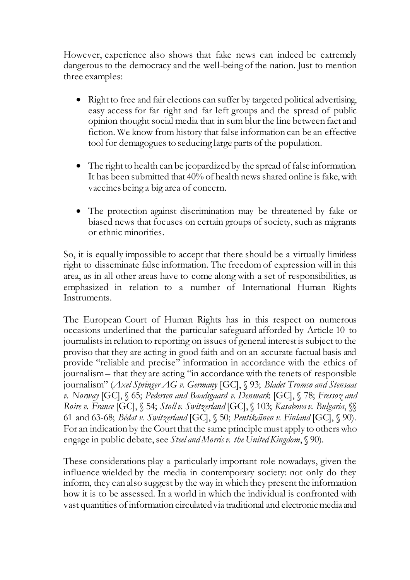However, experience also shows that fake news can indeed be extremely dangerous to the democracy and the well-being of the nation. Just to mention three examples:

- Right to free and fair elections can suffer by targeted political advertising, easy access for far right and far left groups and the spread of public opinion thought social media that in sum blur the line between fact and fiction. We know from history that false information can be an effective tool for demagogues to seducing large parts of the population.
- The right to health can be jeopardized by the spread of false information. It has been submitted that 40% of health news shared online is fake, with vaccines being a big area of concern.
- The protection against discrimination may be threatened by fake or biased news that focuses on certain groups of society, such as migrants or ethnic minorities.

So, it is equally impossible to accept that there should be a virtually limitless right to disseminate false information. The freedom of expression will in this area, as in all other areas have to come along with a set of responsibilities, as emphasized in relation to a number of International Human Rights Instruments.

The European Court of Human Rights has in this respect on numerous occasions underlined that the particular safeguard afforded by Article 10 to journalists in relation to reporting on issues of general interest is subject to the proviso that they are acting in good faith and on an accurate factual basis and provide "reliable and precise" information in accordance with the ethics of journalism – that they are acting "in accordance with the tenets of responsible journalism" (*Axel Springer AG v. Germany* [GC], § 93; *Bladet Tromsø and Stensaas v. Norway* [GC], § 65; *Pedersen and Baadsgaard v. Denmark* [GC], § 78; *Fressoz and Roire v. France* [GC], § 54; *Stoll v. Switzerland* [GC], § 103; *Kasabova v. Bulgaria*, §§ 61 and 63-68; *Bédat v. Switzerland* [GC], § 50; *Pentikäinen v. Finland* [GC], § 90). For an indication by the Court that the same principle must apply to others who engage in public debate, see *Steel and Morris v. the United Kingdom*, § 90).

These considerations play a particularly important role nowadays, given the influence wielded by the media in contemporary society: not only do they inform, they can also suggest by the way in which they present the information how it is to be assessed. In a world in which the individual is confronted with vast quantities of information circulated via traditional and electronic media and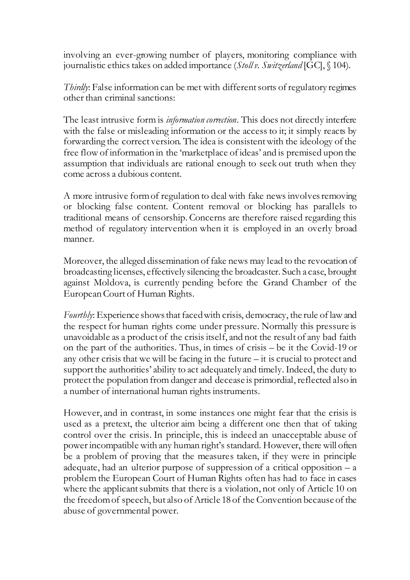involving an ever-growing number of players, monitoring compliance with journalistic ethics takes on added importance (*Stoll v. Switzerland* [GC], § 104).

*Thirdly*: False information can be met with different sorts of regulatory regimes other than criminal sanctions:

The least intrusive form is *information correction*. This does not directly interfere with the false or misleading information or the access to it; it simply reacts by forwarding the correct version. The idea is consistent with the ideology of the free flow of information in the 'marketplace of ideas' and is premised upon the assumption that individuals are rational enough to seek out truth when they come across a dubious content.

A more intrusive form of regulation to deal with fake news involves removing or blocking false content. Content removal or blocking has parallels to traditional means of censorship. Concerns are therefore raised regarding this method of regulatory intervention when it is employed in an overly broad manner.

Moreover, the alleged dissemination of fake news may lead to the revocation of broadcasting licenses, effectively silencing the broadcaster. Such a case, brought against Moldova, is currently pending before the Grand Chamber of the European Court of Human Rights.

*Fourthly*: Experience shows that faced with crisis, democracy, the rule of law and the respect for human rights come under pressure. Normally this pressure is unavoidable as a product of the crisis itself, and not the result of any bad faith on the part of the authorities. Thus, in times of crisis – be it the Covid-19 or any other crisis that we will be facing in the future – it is crucial to protect and support the authorities' ability to act adequately and timely. Indeed, the duty to protect the population from danger and decease is primordial, reflected also in a number of international human rights instruments.

However, and in contrast, in some instances one might fear that the crisis is used as a pretext, the ulterior aim being a different one then that of taking control over the crisis. In principle, this is indeed an unacceptable abuse of power incompatible with any human right's standard. However, there will often be a problem of proving that the measures taken, if they were in principle adequate, had an ulterior purpose of suppression of a critical opposition  $- a$ problem the European Court of Human Rights often has had to face in cases where the applicant submits that there is a violation, not only of Article 10 on the freedom of speech, but also of Article 18 of the Convention because of the abuse of governmental power.